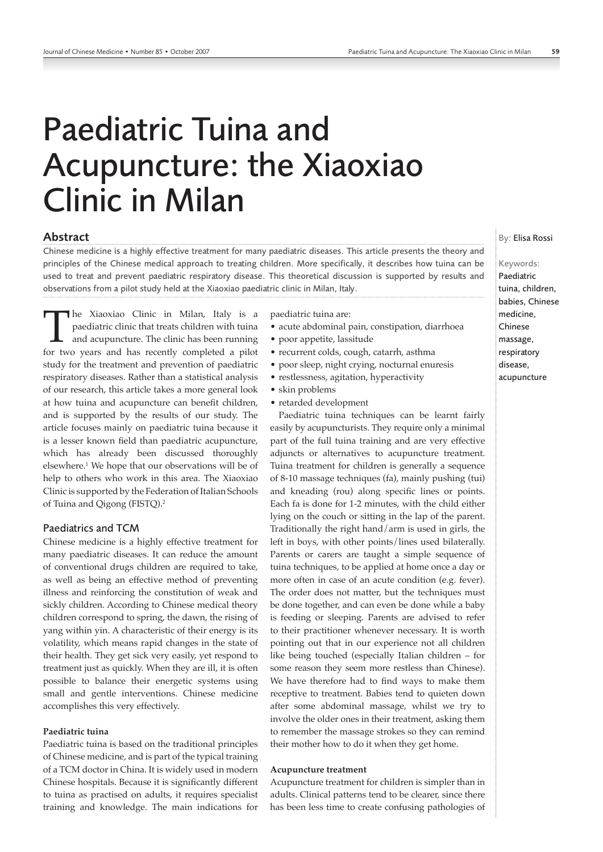# Paediatric Tuina and Acupuncture: the Xiaoxiao Clinic in Milan

## Abstract

Chinese medicine is a highly effective treatment for many paediatric diseases. This article presents the theory and principles of the Chinese medical approach to treating children. More specifically, it describes how tuina can be used to treat and prevent paediatric respiratory disease. This theoretical discussion is supported by results and observations from a pilot study held at the Xiaoxiao paediatric clinic in Milan, Italy.

The Xiaoxiao Clinic in Milan, Italy is a paediatric clinic that treats children with tuina and acupuncture. The clinic has been running for two years and has recently completed a pilot study for the treatment and prevention of paediatric respiratory diseases. Rather than a statistical analysis of our research, this article takes a more general look at how tuina and acupuncture can benefit children, and is supported by the results of our study. The article focuses mainly on paediatric tuina because it is a lesser known field than paediatric acupuncture, which has already been discussed thoroughly elsewhere.1 We hope that our observations will be of help to others who work in this area. The Xiaoxiao Clinic is supported by the Federation of Italian Schools of Tuina and Qigong (FISTQ).2

## Paediatrics and TCM

Chinese medicine is a highly effective treatment for many paediatric diseases. It can reduce the amount of conventional drugs children are required to take, as well as being an effective method of preventing illness and reinforcing the constitution of weak and sickly children. According to Chinese medical theory children correspond to spring, the dawn, the rising of yang within yin. A characteristic of their energy is its volatility, which means rapid changes in the state of their health. They get sick very easily, yet respond to treatment just as quickly. When they are ill, it is often possible to balance their energetic systems using small and gentle interventions. Chinese medicine accomplishes this very effectively.

### **Paediatric tuina**

Paediatric tuina is based on the traditional principles of Chinese medicine, and is part of the typical training of a TCM doctor in China. It is widely used in modern Chinese hospitals. Because it is significantly different to tuina as practised on adults, it requires specialist training and knowledge. The main indications for paediatric tuina are:

- acute abdominal pain, constipation, diarrhoea
- poor appetite, lassitude
- recurrent colds, cough, catarrh, asthma
- poor sleep, night crying, nocturnal enuresis
- restlessness, agitation, hyperactivity
- skin problems
- retarded development

Paediatric tuina techniques can be learnt fairly easily by acupuncturists. They require only a minimal part of the full tuina training and are very effective adjuncts or alternatives to acupuncture treatment. Tuina treatment for children is generally a sequence of 8-10 massage techniques (fa), mainly pushing (tui) and kneading (rou) along specific lines or points. Each fa is done for 1-2 minutes, with the child either lying on the couch or sitting in the lap of the parent. Traditionally the right hand/arm is used in girls, the left in boys, with other points/lines used bilaterally. Parents or carers are taught a simple sequence of tuina techniques, to be applied at home once a day or more often in case of an acute condition (e.g. fever). The order does not matter, but the techniques must be done together, and can even be done while a baby is feeding or sleeping. Parents are advised to refer to their practitioner whenever necessary. It is worth pointing out that in our experience not all children like being touched (especially Italian children – for some reason they seem more restless than Chinese). We have therefore had to find ways to make them receptive to treatment. Babies tend to quieten down after some abdominal massage, whilst we try to involve the older ones in their treatment, asking them to remember the massage strokes so they can remind their mother how to do it when they get home.

#### **Acupuncture treatment**

Acupuncture treatment for children is simpler than in adults. Clinical patterns tend to be clearer, since there has been less time to create confusing pathologies of

## By: Elisa Rossi

#### Keywords:

Paediatric tuina, children, babies, Chinese medicine, Chinese massage, respiratory disease, acupuncture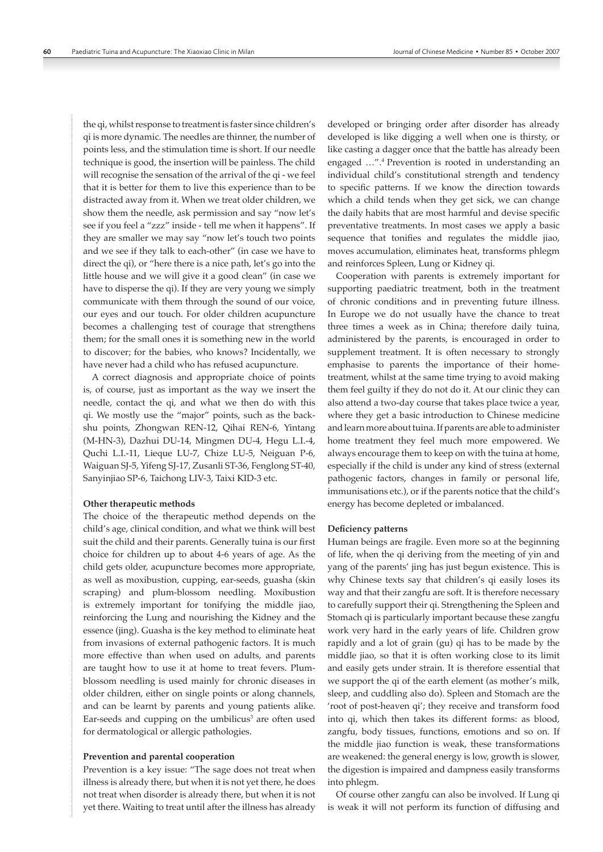the qi, whilst response to treatment is faster since children's qi is more dynamic. The needles are thinner, the number of points less, and the stimulation time is short. If our needle technique is good, the insertion will be painless. The child will recognise the sensation of the arrival of the qi - we feel that it is better for them to live this experience than to be distracted away from it. When we treat older children, we show them the needle, ask permission and say "now let's see if you feel a "zzz" inside - tell me when it happens". If they are smaller we may say "now let's touch two points and we see if they talk to each-other" (in case we have to direct the qi), or "here there is a nice path, let's go into the little house and we will give it a good clean" (in case we have to disperse the qi). If they are very young we simply communicate with them through the sound of our voice, our eyes and our touch. For older children acupuncture becomes a challenging test of courage that strengthens them; for the small ones it is something new in the world to discover; for the babies, who knows? Incidentally, we have never had a child who has refused acupuncture.

A correct diagnosis and appropriate choice of points is, of course, just as important as the way we insert the needle, contact the qi, and what we then do with this qi. We mostly use the "major" points, such as the backshu points, Zhongwan REN-12, Qihai REN-6, Yintang (M-HN-3), Dazhui DU-14, Mingmen DU-4, Hegu L.I.-4, Quchi L.I.-11, Lieque LU-7, Chize LU-5, Neiguan P-6, Waiguan SJ-5, Yifeng SJ-17, Zusanli ST-36, Fenglong ST-40, Sanyinjiao SP-6, Taichong LIV-3, Taixi KID-3 etc.

#### **Other therapeutic methods**

The choice of the therapeutic method depends on the child's age, clinical condition, and what we think will best suit the child and their parents. Generally tuina is our first choice for children up to about 4-6 years of age. As the child gets older, acupuncture becomes more appropriate, as well as moxibustion, cupping, ear-seeds, guasha (skin scraping) and plum-blossom needling. Moxibustion is extremely important for tonifying the middle jiao, reinforcing the Lung and nourishing the Kidney and the essence (jing). Guasha is the key method to eliminate heat from invasions of external pathogenic factors. It is much more effective than when used on adults, and parents are taught how to use it at home to treat fevers. Plumblossom needling is used mainly for chronic diseases in older children, either on single points or along channels, and can be learnt by parents and young patients alike. Ear-seeds and cupping on the umbilicus<sup>3</sup> are often used for dermatological or allergic pathologies.

#### **Prevention and parental cooperation**

Prevention is a key issue: "The sage does not treat when illness is already there, but when it is not yet there, he does not treat when disorder is already there, but when it is not yet there. Waiting to treat until after the illness has already developed or bringing order after disorder has already developed is like digging a well when one is thirsty, or like casting a dagger once that the battle has already been engaged …".4 Prevention is rooted in understanding an individual child's constitutional strength and tendency to specific patterns. If we know the direction towards which a child tends when they get sick, we can change the daily habits that are most harmful and devise specific preventative treatments. In most cases we apply a basic sequence that tonifies and regulates the middle jiao, moves accumulation, eliminates heat, transforms phlegm and reinforces Spleen, Lung or Kidney qi.

Cooperation with parents is extremely important for supporting paediatric treatment, both in the treatment of chronic conditions and in preventing future illness. In Europe we do not usually have the chance to treat three times a week as in China; therefore daily tuina, administered by the parents, is encouraged in order to supplement treatment. It is often necessary to strongly emphasise to parents the importance of their hometreatment, whilst at the same time trying to avoid making them feel guilty if they do not do it. At our clinic they can also attend a two-day course that takes place twice a year, where they get a basic introduction to Chinese medicine and learn more about tuina. If parents are able to administer home treatment they feel much more empowered. We always encourage them to keep on with the tuina at home, especially if the child is under any kind of stress (external pathogenic factors, changes in family or personal life, immunisations etc.), or if the parents notice that the child's energy has become depleted or imbalanced.

#### **Deficiency patterns**

Human beings are fragile. Even more so at the beginning of life, when the qi deriving from the meeting of yin and yang of the parents' jing has just begun existence. This is why Chinese texts say that children's qi easily loses its way and that their zangfu are soft. It is therefore necessary to carefully support their qi. Strengthening the Spleen and Stomach qi is particularly important because these zangfu work very hard in the early years of life. Children grow rapidly and a lot of grain (gu) qi has to be made by the middle jiao, so that it is often working close to its limit and easily gets under strain. It is therefore essential that we support the qi of the earth element (as mother's milk, sleep, and cuddling also do). Spleen and Stomach are the 'root of post-heaven qi'; they receive and transform food into qi, which then takes its different forms: as blood, zangfu, body tissues, functions, emotions and so on. If the middle jiao function is weak, these transformations are weakened: the general energy is low, growth is slower, the digestion is impaired and dampness easily transforms into phlegm.

Of course other zangfu can also be involved. If Lung qi is weak it will not perform its function of diffusing and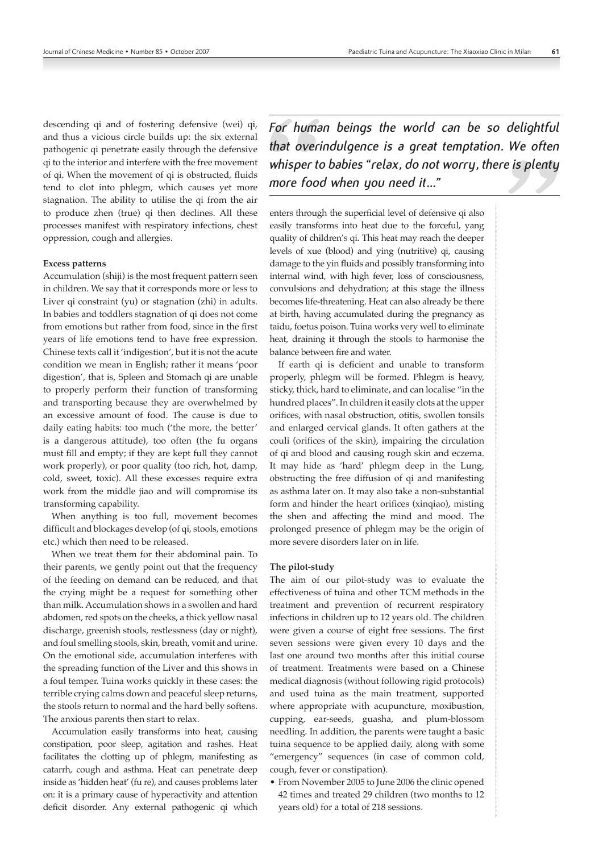descending qi and of fostering defensive (wei) qi, and thus a vicious circle builds up: the six external pathogenic qi penetrate easily through the defensive qi to the interior and interfere with the free movement of qi. When the movement of qi is obstructed, fluids tend to clot into phlegm, which causes yet more stagnation. The ability to utilise the qi from the air to produce zhen (true) qi then declines. All these processes manifest with respiratory infections, chest oppression, cough and allergies.

#### **Excess patterns**

Accumulation (shiji) is the most frequent pattern seen in children. We say that it corresponds more or less to Liver qi constraint (yu) or stagnation (zhi) in adults. In babies and toddlers stagnation of qi does not come from emotions but rather from food, since in the first years of life emotions tend to have free expression. Chinese texts call it 'indigestion', but it is not the acute condition we mean in English; rather it means 'poor digestion', that is, Spleen and Stomach qi are unable to properly perform their function of transforming and transporting because they are overwhelmed by an excessive amount of food. The cause is due to daily eating habits: too much ('the more, the better' is a dangerous attitude), too often (the fu organs must fill and empty; if they are kept full they cannot work properly), or poor quality (too rich, hot, damp, cold, sweet, toxic). All these excesses require extra work from the middle jiao and will compromise its transforming capability.

When anything is too full, movement becomes difficult and blockages develop (of qi, stools, emotions etc.) which then need to be released.

When we treat them for their abdominal pain. To their parents, we gently point out that the frequency of the feeding on demand can be reduced, and that the crying might be a request for something other than milk. Accumulation shows in a swollen and hard abdomen, red spots on the cheeks, a thick yellow nasal discharge, greenish stools, restlessness (day or night), and foul smelling stools, skin, breath, vomit and urine. On the emotional side, accumulation interferes with the spreading function of the Liver and this shows in a foul temper. Tuina works quickly in these cases: the terrible crying calms down and peaceful sleep returns, the stools return to normal and the hard belly softens. The anxious parents then start to relax.

Accumulation easily transforms into heat, causing constipation, poor sleep, agitation and rashes. Heat facilitates the clotting up of phlegm, manifesting as catarrh, cough and asthma. Heat can penetrate deep inside as 'hidden heat' (fu re), and causes problems later on: it is a primary cause of hyperactivity and attention deficit disorder. Any external pathogenic qi which *For human beings the world can be so delightful that overindulgence is a great temptation. We often whisper to babies "relax, do not worry, there is plenty more food when you need it…"* 

enters through the superficial level of defensive qi also easily transforms into heat due to the forceful, yang quality of children's qi. This heat may reach the deeper levels of xue (blood) and ying (nutritive) qi, causing damage to the yin fluids and possibly transforming into internal wind, with high fever, loss of consciousness, convulsions and dehydration; at this stage the illness becomes life-threatening. Heat can also already be there at birth, having accumulated during the pregnancy as taidu, foetus poison. Tuina works very well to eliminate heat, draining it through the stools to harmonise the balance between fire and water.

If earth qi is deficient and unable to transform properly, phlegm will be formed. Phlegm is heavy, sticky, thick, hard to eliminate, and can localise "in the hundred places". In children it easily clots at the upper orifices, with nasal obstruction, otitis, swollen tonsils and enlarged cervical glands. It often gathers at the couli (orifices of the skin), impairing the circulation of qi and blood and causing rough skin and eczema. It may hide as 'hard' phlegm deep in the Lung, obstructing the free diffusion of qi and manifesting as asthma later on. It may also take a non-substantial form and hinder the heart orifices (xinqiao), misting the shen and affecting the mind and mood. The prolonged presence of phlegm may be the origin of more severe disorders later on in life.

#### **The pilot-study**

The aim of our pilot-study was to evaluate the effectiveness of tuina and other TCM methods in the treatment and prevention of recurrent respiratory infections in children up to 12 years old. The children were given a course of eight free sessions. The first seven sessions were given every 10 days and the last one around two months after this initial course of treatment. Treatments were based on a Chinese medical diagnosis (without following rigid protocols) and used tuina as the main treatment, supported where appropriate with acupuncture, moxibustion, cupping, ear-seeds, guasha, and plum-blossom needling. In addition, the parents were taught a basic tuina sequence to be applied daily, along with some "emergency" sequences (in case of common cold, cough, fever or constipation).

• From November 2005 to June 2006 the clinic opened 42 times and treated 29 children (two months to 12 years old) for a total of 218 sessions.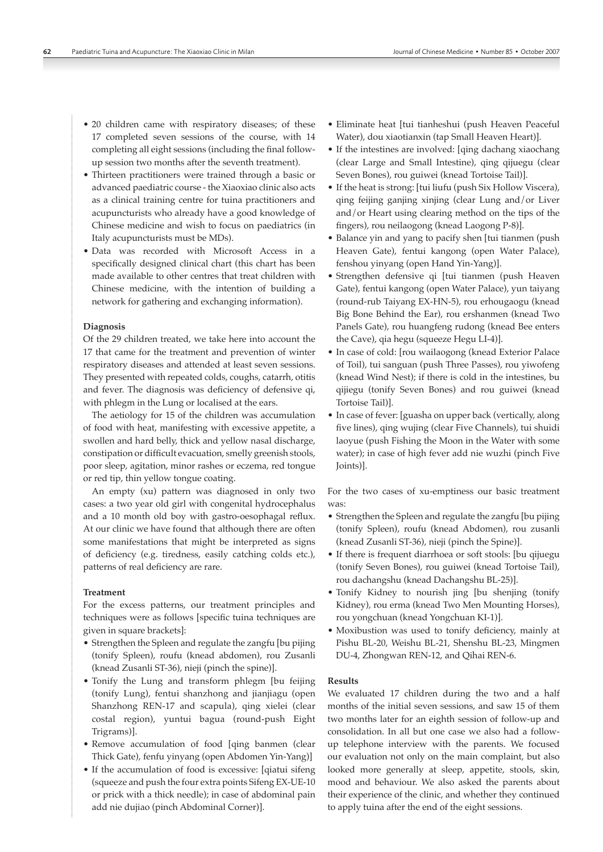- 20 children came with respiratory diseases; of these 17 completed seven sessions of the course, with 14 completing all eight sessions (including the final followup session two months after the seventh treatment).
- Thirteen practitioners were trained through a basic or advanced paediatric course - the Xiaoxiao clinic also acts as a clinical training centre for tuina practitioners and acupuncturists who already have a good knowledge of Chinese medicine and wish to focus on paediatrics (in Italy acupuncturists must be MDs).
- Data was recorded with Microsoft Access in a specifically designed clinical chart (this chart has been made available to other centres that treat children with Chinese medicine, with the intention of building a network for gathering and exchanging information).

## **Diagnosis**

Of the 29 children treated, we take here into account the 17 that came for the treatment and prevention of winter respiratory diseases and attended at least seven sessions. They presented with repeated colds, coughs, catarrh, otitis and fever. The diagnosis was deficiency of defensive qi, with phlegm in the Lung or localised at the ears.

The aetiology for 15 of the children was accumulation of food with heat, manifesting with excessive appetite, a swollen and hard belly, thick and yellow nasal discharge, constipation or difficult evacuation, smelly greenish stools, poor sleep, agitation, minor rashes or eczema, red tongue or red tip, thin yellow tongue coating.

An empty (xu) pattern was diagnosed in only two cases: a two year old girl with congenital hydrocephalus and a 10 month old boy with gastro-oesophagal reflux. At our clinic we have found that although there are often some manifestations that might be interpreted as signs of deficiency (e.g. tiredness, easily catching colds etc.), patterns of real deficiency are rare.

## **Treatment**

For the excess patterns, our treatment principles and techniques were as follows [specific tuina techniques are given in square brackets]:

- Strengthen the Spleen and regulate the zangfu [bu pijing (tonify Spleen), roufu (knead abdomen), rou Zusanli (knead Zusanli ST-36), nieji (pinch the spine)].
- Tonify the Lung and transform phlegm [bu feijing (tonify Lung), fentui shanzhong and jianjiagu (open Shanzhong REN-17 and scapula), qing xielei (clear costal region), yuntui bagua (round-push Eight Trigrams)].
- Remove accumulation of food [qing banmen (clear Thick Gate), fenfu yinyang (open Abdomen Yin-Yang)]
- If the accumulation of food is excessive: [qiatui sifeng (squeeze and push the four extra points Sifeng EX-UE-10 or prick with a thick needle); in case of abdominal pain add nie dujiao (pinch Abdominal Corner)].
- Eliminate heat [tui tianheshui (push Heaven Peaceful Water), dou xiaotianxin (tap Small Heaven Heart)].
- If the intestines are involved: [qing dachang xiaochang (clear Large and Small Intestine), qing qijuegu (clear Seven Bones), rou guiwei (knead Tortoise Tail)].
- If the heat is strong: [tui liufu (push Six Hollow Viscera), qing feijing ganjing xinjing (clear Lung and/or Liver and/or Heart using clearing method on the tips of the fingers), rou neilaogong (knead Laogong P-8)].
- Balance yin and yang to pacify shen [tui tianmen (push Heaven Gate), fentui kangong (open Water Palace), fenshou yinyang (open Hand Yin-Yang)].
- Strengthen defensive qi [tui tianmen (push Heaven Gate), fentui kangong (open Water Palace), yun taiyang (round-rub Taiyang EX-HN-5), rou erhougaogu (knead Big Bone Behind the Ear), rou ershanmen (knead Two Panels Gate), rou huangfeng rudong (knead Bee enters the Cave), qia hegu (squeeze Hegu LI-4)].
- In case of cold: [rou wailaogong (knead Exterior Palace of Toil), tui sanguan (push Three Passes), rou yiwofeng (knead Wind Nest); if there is cold in the intestines, bu qijiegu (tonify Seven Bones) and rou guiwei (knead Tortoise Tail)].
- In case of fever: [guasha on upper back (vertically, along five lines), qing wujing (clear Five Channels), tui shuidi laoyue (push Fishing the Moon in the Water with some water); in case of high fever add nie wuzhi (pinch Five Joints)].

For the two cases of xu-emptiness our basic treatment was:

- Strengthen the Spleen and regulate the zangfu [bu pijing (tonify Spleen), roufu (knead Abdomen), rou zusanli (knead Zusanli ST-36), nieji (pinch the Spine)].
- If there is frequent diarrhoea or soft stools: [bu qijuegu (tonify Seven Bones), rou guiwei (knead Tortoise Tail), rou dachangshu (knead Dachangshu BL-25)].
- Tonify Kidney to nourish jing [bu shenjing (tonify Kidney), rou erma (knead Two Men Mounting Horses), rou yongchuan (knead Yongchuan KI-1)].
- Moxibustion was used to tonify deficiency, mainly at Pishu BL-20, Weishu BL-21, Shenshu BL-23, Mingmen DU-4, Zhongwan REN-12, and Qihai REN-6.

## **Results**

We evaluated 17 children during the two and a half months of the initial seven sessions, and saw 15 of them two months later for an eighth session of follow-up and consolidation. In all but one case we also had a followup telephone interview with the parents. We focused our evaluation not only on the main complaint, but also looked more generally at sleep, appetite, stools, skin, mood and behaviour. We also asked the parents about their experience of the clinic, and whether they continued to apply tuina after the end of the eight sessions.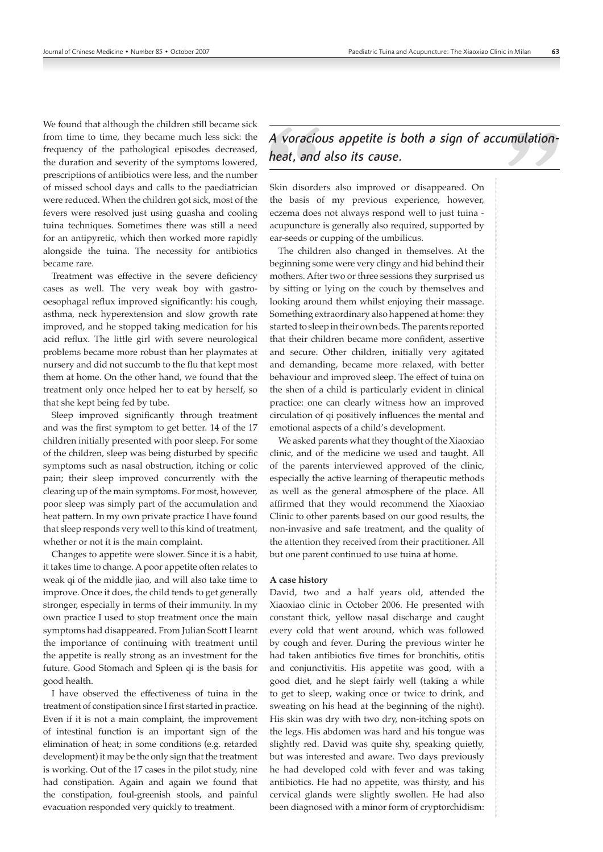We found that although the children still became sick from time to time, they became much less sick: the frequency of the pathological episodes decreased, the duration and severity of the symptoms lowered, prescriptions of antibiotics were less, and the number of missed school days and calls to the paediatrician were reduced. When the children got sick, most of the fevers were resolved just using guasha and cooling tuina techniques. Sometimes there was still a need for an antipyretic, which then worked more rapidly alongside the tuina. The necessity for antibiotics became rare.

Treatment was effective in the severe deficiency cases as well. The very weak boy with gastrooesophagal reflux improved significantly: his cough, asthma, neck hyperextension and slow growth rate improved, and he stopped taking medication for his acid reflux. The little girl with severe neurological problems became more robust than her playmates at nursery and did not succumb to the flu that kept most them at home. On the other hand, we found that the treatment only once helped her to eat by herself, so that she kept being fed by tube.

Sleep improved significantly through treatment and was the first symptom to get better. 14 of the 17 children initially presented with poor sleep. For some of the children, sleep was being disturbed by specific symptoms such as nasal obstruction, itching or colic pain; their sleep improved concurrently with the clearing up of the main symptoms. For most, however, poor sleep was simply part of the accumulation and heat pattern. In my own private practice I have found that sleep responds very well to this kind of treatment, whether or not it is the main complaint.

Changes to appetite were slower. Since it is a habit, it takes time to change. A poor appetite often relates to weak qi of the middle jiao, and will also take time to improve. Once it does, the child tends to get generally stronger, especially in terms of their immunity. In my own practice I used to stop treatment once the main symptoms had disappeared. From Julian Scott I learnt the importance of continuing with treatment until the appetite is really strong as an investment for the future. Good Stomach and Spleen qi is the basis for good health.

I have observed the effectiveness of tuina in the treatment of constipation since I first started in practice. Even if it is not a main complaint, the improvement of intestinal function is an important sign of the elimination of heat; in some conditions (e.g. retarded development) it may be the only sign that the treatment is working. Out of the 17 cases in the pilot study, nine had constipation. Again and again we found that the constipation, foul-greenish stools, and painful evacuation responded very quickly to treatment.

*A voracious appetite is both a sign of accumulationheat, and also its cause.*

Skin disorders also improved or disappeared. On the basis of my previous experience, however, eczema does not always respond well to just tuina acupuncture is generally also required, supported by ear-seeds or cupping of the umbilicus.

The children also changed in themselves. At the beginning some were very clingy and hid behind their mothers. After two or three sessions they surprised us by sitting or lying on the couch by themselves and looking around them whilst enjoying their massage. Something extraordinary also happened at home: they started to sleep in their own beds. The parents reported that their children became more confident, assertive and secure. Other children, initially very agitated and demanding, became more relaxed, with better behaviour and improved sleep. The effect of tuina on the shen of a child is particularly evident in clinical practice: one can clearly witness how an improved circulation of qi positively influences the mental and emotional aspects of a child's development.

We asked parents what they thought of the Xiaoxiao clinic, and of the medicine we used and taught. All of the parents interviewed approved of the clinic, especially the active learning of therapeutic methods as well as the general atmosphere of the place. All affirmed that they would recommend the Xiaoxiao Clinic to other parents based on our good results, the non-invasive and safe treatment, and the quality of the attention they received from their practitioner. All but one parent continued to use tuina at home.

#### **A case history**

David, two and a half years old, attended the Xiaoxiao clinic in October 2006. He presented with constant thick, yellow nasal discharge and caught every cold that went around, which was followed by cough and fever. During the previous winter he had taken antibiotics five times for bronchitis, otitis and conjunctivitis. His appetite was good, with a good diet, and he slept fairly well (taking a while to get to sleep, waking once or twice to drink, and sweating on his head at the beginning of the night). His skin was dry with two dry, non-itching spots on the legs. His abdomen was hard and his tongue was slightly red. David was quite shy, speaking quietly, but was interested and aware. Two days previously he had developed cold with fever and was taking antibiotics. He had no appetite, was thirsty, and his cervical glands were slightly swollen. He had also been diagnosed with a minor form of cryptorchidism: